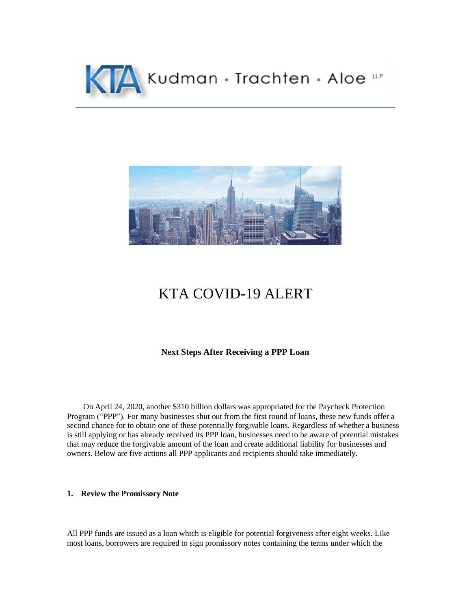



# KTA COVID-19 ALERT

# **Next Steps After Receiving a PPP Loan**

 On April 24, 2020, another \$310 billion dollars was appropriated for the Paycheck Protection Program ("PPP"). For many businesses shut out from the first round of loans, these new funds offer a second chance for to obtain one of these potentially forgivable loans. Regardless of whether a business is still applying or has already received its PPP loan, businesses need to be aware of potential mistakes that may reduce the forgivable amount of the loan and create additional liability for businesses and owners. Below are five actions all PPP applicants and recipients should take immediately.

## **1. Review the Promissory Note**

All PPP funds are issued as a loan which is eligible for potential forgiveness after eight weeks. Like most loans, borrowers are required to sign promissory notes containing the terms under which the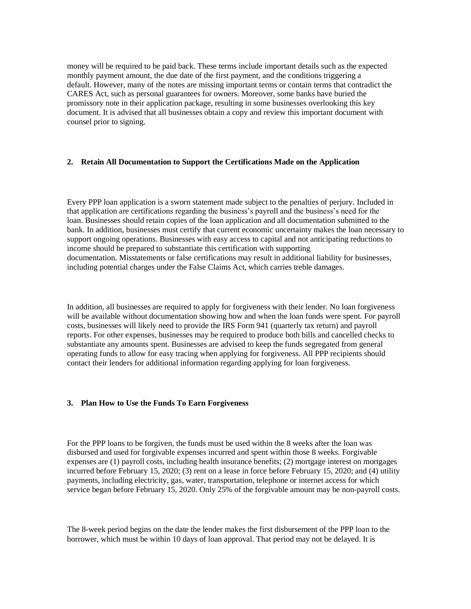money will be required to be paid back. These terms include important details such as the expected monthly payment amount, the due date of the first payment, and the conditions triggering a default. However, many of the notes are missing important terms or contain terms that contradict the CARES Act, such as personal guarantees for owners. Moreover, some banks have buried the promissory note in their application package, resulting in some businesses overlooking this key document. It is advised that all businesses obtain a copy and review this important document with counsel prior to signing.

#### **2. Retain All Documentation to Support the Certifications Made on the Application**

Every PPP loan application is a sworn statement made subject to the penalties of perjury. Included in that application are certifications regarding the business's payroll and the business's need for the loan. Businesses should retain copies of the loan application and all documentation submitted to the bank. In addition, businesses must certify that current economic uncertainty makes the loan necessary to support ongoing operations. Businesses with easy access to capital and not anticipating reductions to income should be prepared to substantiate this certification with supporting documentation. Misstatements or false certifications may result in additional liability for businesses, including potential charges under the False Claims Act, which carries treble damages.

In addition, all businesses are required to apply for forgiveness with their lender. No loan forgiveness will be available without documentation showing how and when the loan funds were spent. For payroll costs, businesses will likely need to provide the IRS Form 941 (quarterly tax return) and payroll reports. For other expenses, businesses may be required to produce both bills and cancelled checks to substantiate any amounts spent. Businesses are advised to keep the funds segregated from general operating funds to allow for easy tracing when applying for forgiveness. All PPP recipients should contact their lenders for additional information regarding applying for loan forgiveness.

#### **3. Plan How to Use the Funds To Earn Forgiveness**

For the PPP loans to be forgiven, the funds must be used within the 8 weeks after the loan was disbursed and used for forgivable expenses incurred and spent within those 8 weeks. Forgivable expenses are (1) payroll costs, including health insurance benefits; (2) mortgage interest on mortgages incurred before February 15, 2020; (3) rent on a lease in force before February 15, 2020; and (4) utility payments, including electricity, gas, water, transportation, telephone or internet access for which service began before February 15, 2020. Only 25% of the forgivable amount may be non-payroll costs.

The 8-week period begins on the date the lender makes the first disbursement of the PPP loan to the borrower, which must be within 10 days of loan approval. That period may not be delayed. It is